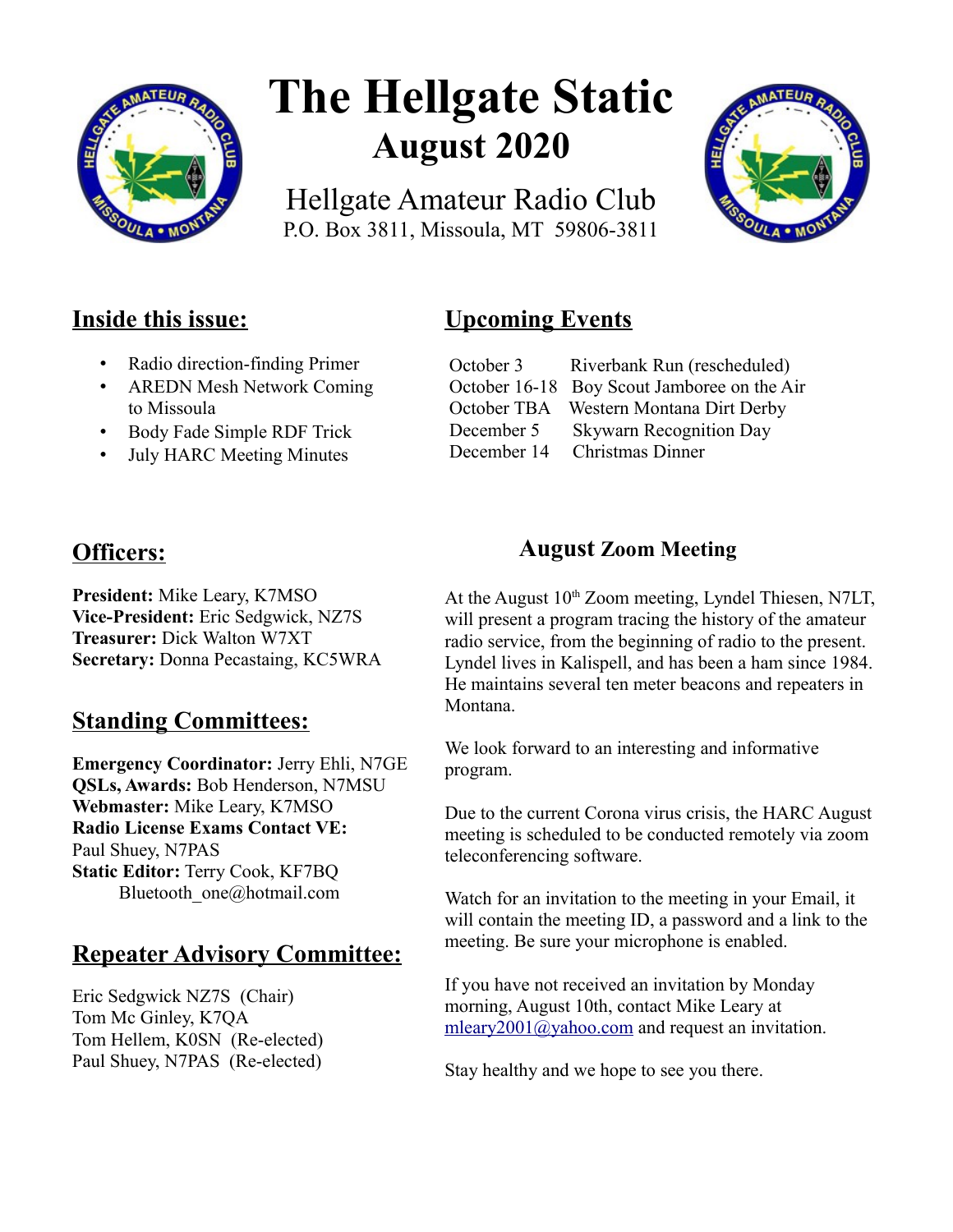

# **The Hellgate Static August 2020**

Hellgate Amateur Radio Club P.O. Box 3811, Missoula, MT 59806-3811



## **Inside this issue:**

- Radio direction-finding Primer
- AREDN Mesh Network Coming to Missoula
- Body Fade Simple RDF Trick
- July HARC Meeting Minutes

# **Officers:**

**President:** Mike Leary, K7MSO **Vice-President:** Eric Sedgwick, NZ7S **Treasurer:** Dick Walton W7XT **Secretary:** Donna Pecastaing, KC5WRA

## **Standing Committees:**

**Emergency Coordinator:** Jerry Ehli, N7GE **QSLs, Awards:** Bob Henderson, N7MSU **Webmaster:** Mike Leary, K7MSO **Radio License Exams Contact VE:** Paul Shuey, N7PAS **Static Editor:** Terry Cook, KF7BQ Bluetooth\_one@hotmail.com

## **Repeater Advisory Committee:**

Eric Sedgwick NZ7S (Chair) Tom Mc Ginley, K7QA Tom Hellem, K0SN (Re-elected) Paul Shuey, N7PAS (Re-elected)

# **Upcoming Events**

| October 3   | Riverbank Run (rescheduled)                 |
|-------------|---------------------------------------------|
|             | October 16-18 Boy Scout Jamboree on the Air |
|             | October TBA Western Montana Dirt Derby      |
| December 5  | <b>Skywarn Recognition Day</b>              |
| December 14 | <b>Christmas Dinner</b>                     |

## **August Zoom Meeting**

At the August  $10<sup>th</sup>$  Zoom meeting, Lyndel Thiesen, N7LT, will present a program tracing the history of the amateur radio service, from the beginning of radio to the present. Lyndel lives in Kalispell, and has been a ham since 1984. He maintains several ten meter beacons and repeaters in Montana.

We look forward to an interesting and informative program.

Due to the current Corona virus crisis, the HARC August meeting is scheduled to be conducted remotely via zoom teleconferencing software.

Watch for an invitation to the meeting in your Email, it will contain the meeting ID, a password and a link to the meeting. Be sure your microphone is enabled.

If you have not received an invitation by Monday morning, August 10th, contact Mike Leary at [mleary2001@yahoo.com](mailto:mleary2001@yahoo.com) and request an invitation.

Stay healthy and we hope to see you there.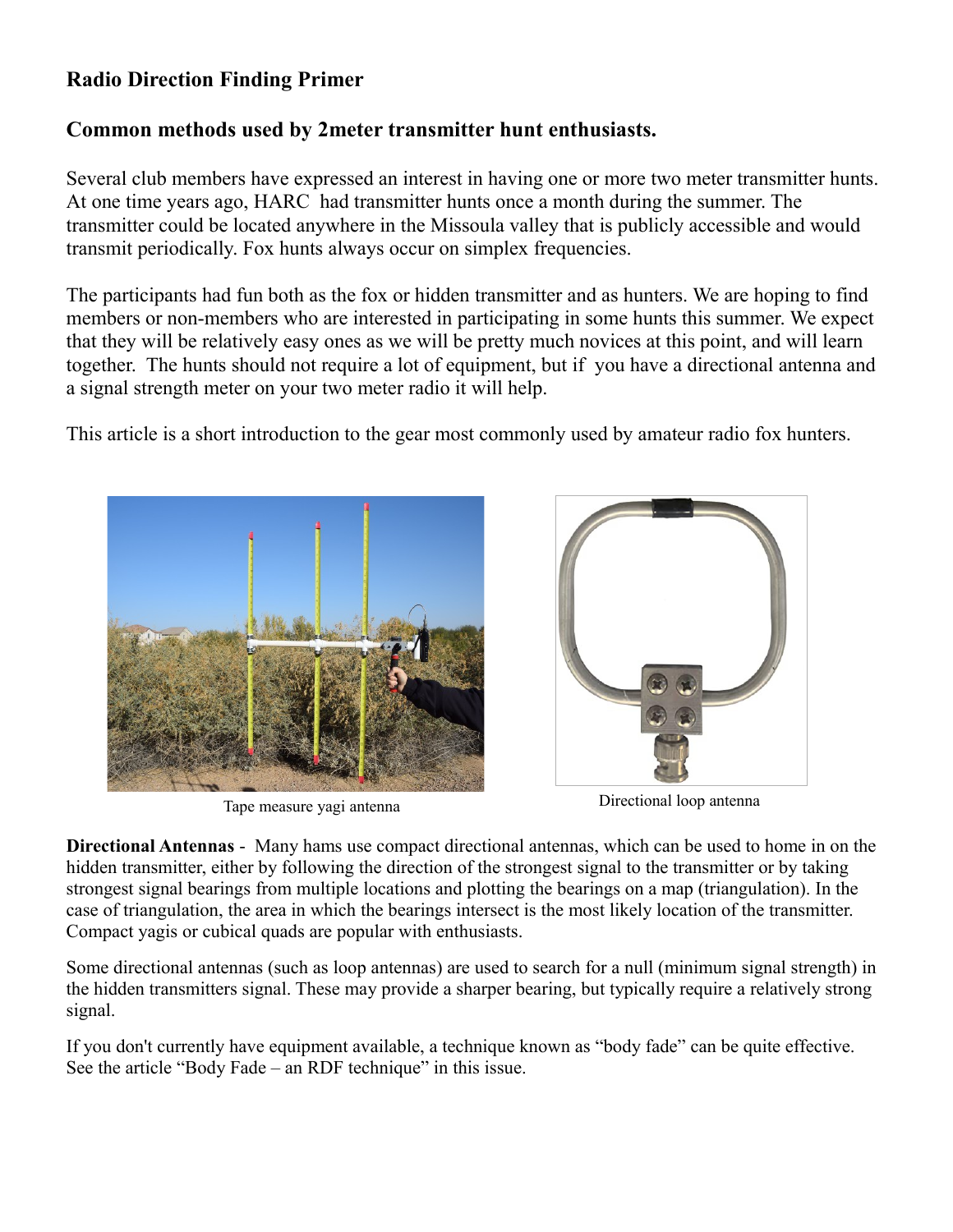## **Radio Direction Finding Primer**

## **Common methods used by 2meter transmitter hunt enthusiasts.**

Several club members have expressed an interest in having one or more two meter transmitter hunts. At one time years ago, HARC had transmitter hunts once a month during the summer. The transmitter could be located anywhere in the Missoula valley that is publicly accessible and would transmit periodically. Fox hunts always occur on simplex frequencies.

The participants had fun both as the fox or hidden transmitter and as hunters. We are hoping to find members or non-members who are interested in participating in some hunts this summer. We expect that they will be relatively easy ones as we will be pretty much novices at this point, and will learn together. The hunts should not require a lot of equipment, but if you have a directional antenna and a signal strength meter on your two meter radio it will help.

This article is a short introduction to the gear most commonly used by amateur radio fox hunters.





Tape measure yagi antenna Directional loop antenna

**Directional Antennas** - Many hams use compact directional antennas, which can be used to home in on the hidden transmitter, either by following the direction of the strongest signal to the transmitter or by taking strongest signal bearings from multiple locations and plotting the bearings on a map (triangulation). In the case of triangulation, the area in which the bearings intersect is the most likely location of the transmitter. Compact yagis or cubical quads are popular with enthusiasts.

Some directional antennas (such as loop antennas) are used to search for a null (minimum signal strength) in the hidden transmitters signal. These may provide a sharper bearing, but typically require a relatively strong signal.

If you don't currently have equipment available, a technique known as "body fade" can be quite effective. See the article "Body Fade – an RDF technique" in this issue.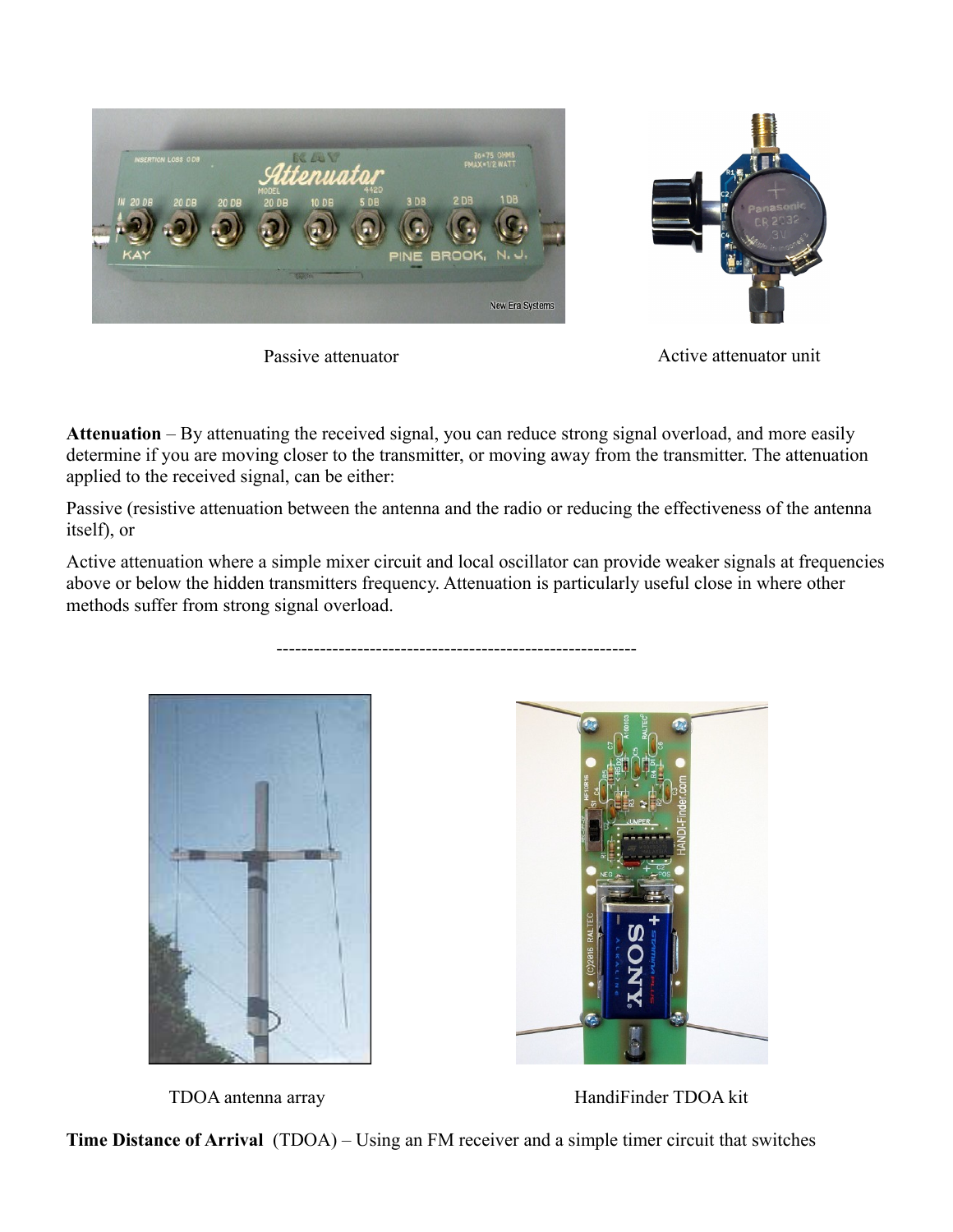

Passive attenuator

----------------------------------------------------------

Active attenuator unit

**Attenuation** – By attenuating the received signal, you can reduce strong signal overload, and more easily determine if you are moving closer to the transmitter, or moving away from the transmitter. The attenuation applied to the received signal, can be either:

Passive (resistive attenuation between the antenna and the radio or reducing the effectiveness of the antenna itself), or

Active attenuation where a simple mixer circuit and local oscillator can provide weaker signals at frequencies above or below the hidden transmitters frequency. Attenuation is particularly useful close in where other methods suffer from strong signal overload.



TDOA antenna array HandiFinder TDOA kit

**Time Distance of Arrival** (TDOA) – Using an FM receiver and a simple timer circuit that switches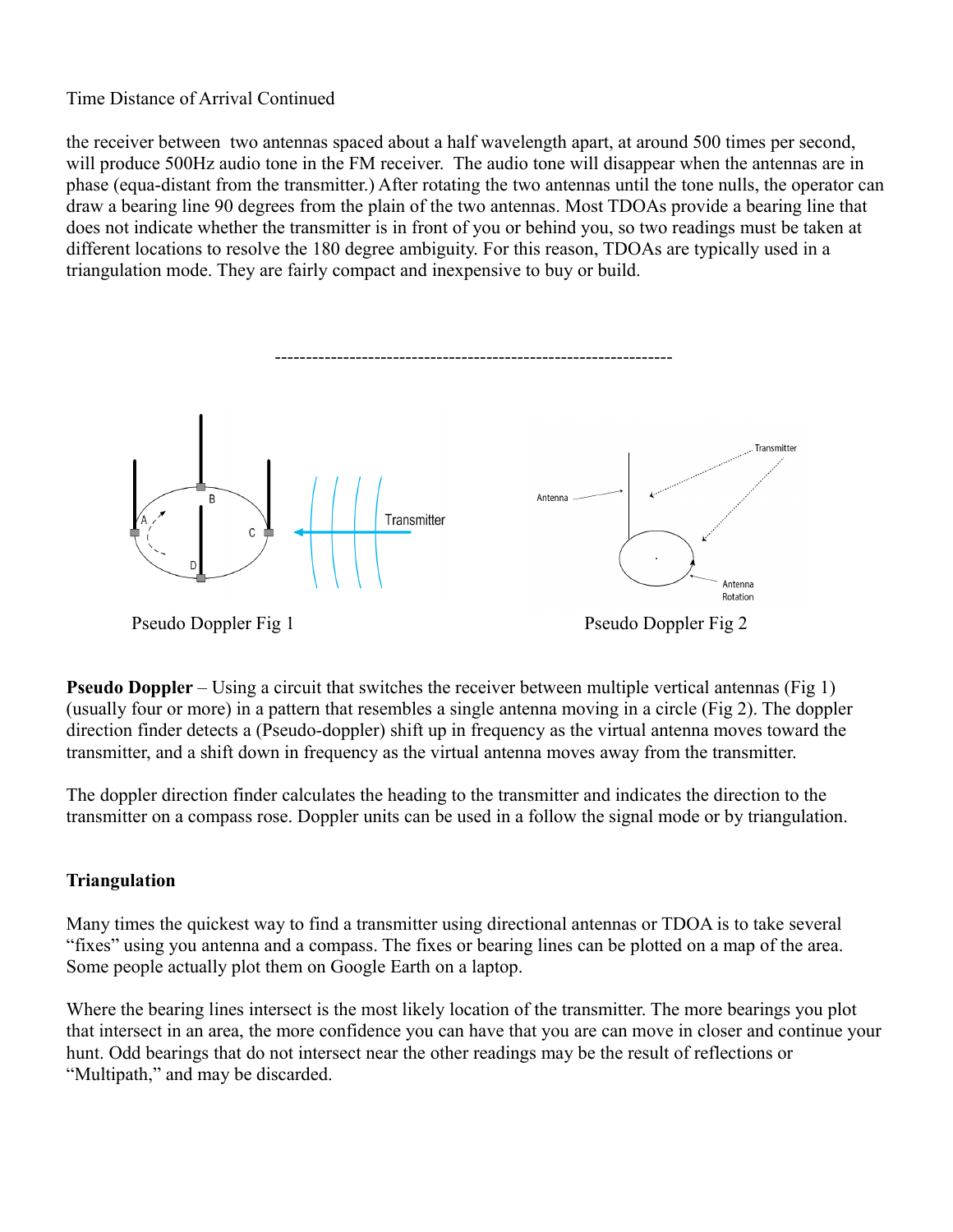#### Time Distance of Arrival Continued

the receiver between two antennas spaced about a half wavelength apart, at around 500 times per second, will produce 500Hz audio tone in the FM receiver. The audio tone will disappear when the antennas are in phase (equa-distant from the transmitter.) After rotating the two antennas until the tone nulls, the operator can draw a bearing line 90 degrees from the plain of the two antennas. Most TDOAs provide a bearing line that does not indicate whether the transmitter is in front of you or behind you, so two readings must be taken at different locations to resolve the 180 degree ambiguity. For this reason, TDOAs are typically used in a triangulation mode. They are fairly compact and inexpensive to buy or build.



**Pseudo Doppler** – Using a circuit that switches the receiver between multiple vertical antennas (Fig 1) (usually four or more) in a pattern that resembles a single antenna moving in a circle (Fig 2). The doppler direction finder detects a (Pseudo-doppler) shift up in frequency as the virtual antenna moves toward the transmitter, and a shift down in frequency as the virtual antenna moves away from the transmitter.

The doppler direction finder calculates the heading to the transmitter and indicates the direction to the transmitter on a compass rose. Doppler units can be used in a follow the signal mode or by triangulation.

#### **Triangulation**

Many times the quickest way to find a transmitter using directional antennas or TDOA is to take several "fixes" using you antenna and a compass. The fixes or bearing lines can be plotted on a map of the area. Some people actually plot them on Google Earth on a laptop.

Where the bearing lines intersect is the most likely location of the transmitter. The more bearings you plot that intersect in an area, the more confidence you can have that you are can move in closer and continue your hunt. Odd bearings that do not intersect near the other readings may be the result of reflections or "Multipath," and may be discarded.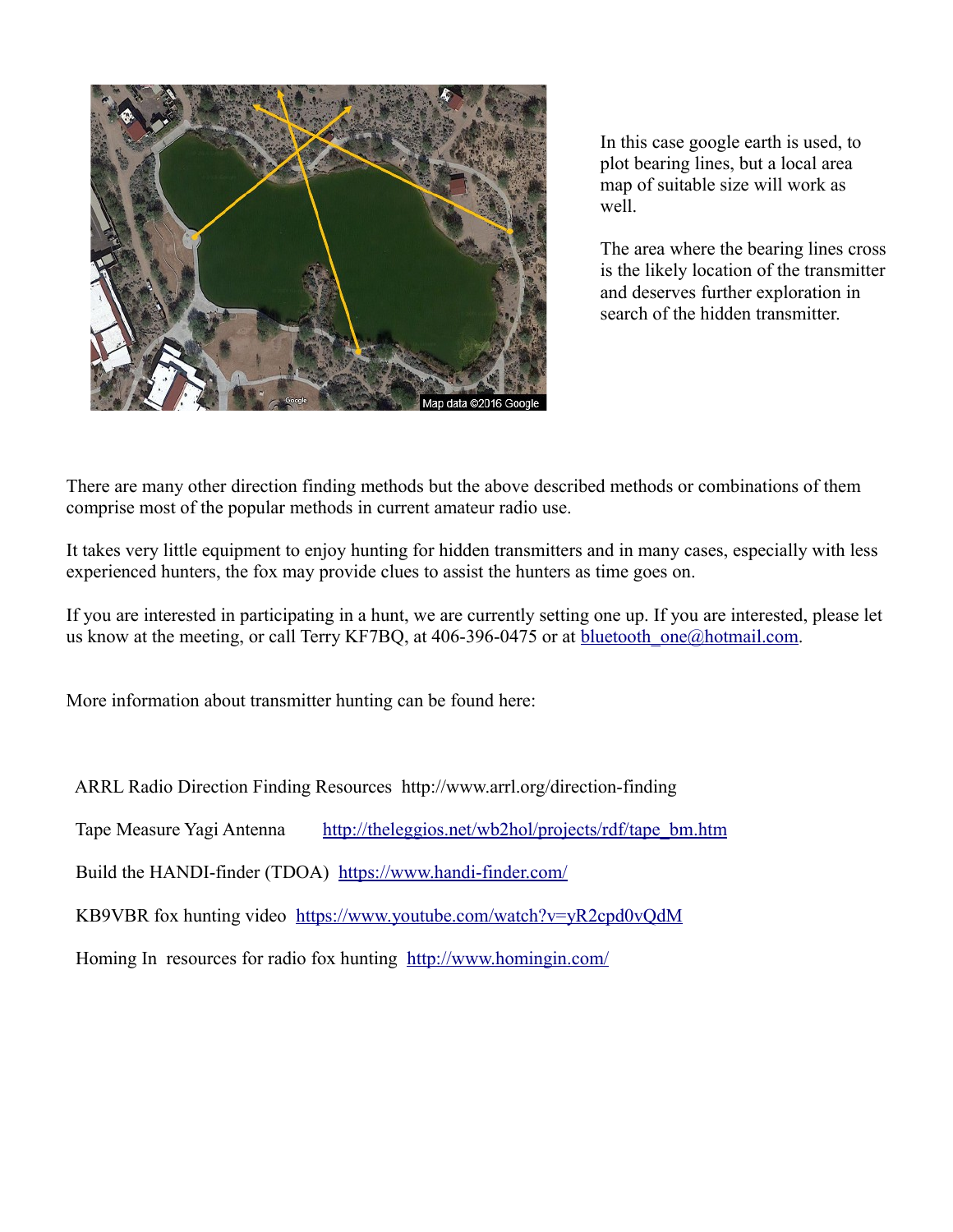

In this case google earth is used, to plot bearing lines, but a local area map of suitable size will work as well.

The area where the bearing lines cross is the likely location of the transmitter and deserves further exploration in search of the hidden transmitter.

There are many other direction finding methods but the above described methods or combinations of them comprise most of the popular methods in current amateur radio use.

It takes very little equipment to enjoy hunting for hidden transmitters and in many cases, especially with less experienced hunters, the fox may provide clues to assist the hunters as time goes on.

If you are interested in participating in a hunt, we are currently setting one up. If you are interested, please let us know at the meeting, or call Terry KF7BQ, at 406-396-0475 or at bluetooth  $one@hotmail.com$ .

More information about transmitter hunting can be found here:

ARRL Radio Direction Finding Resources http://www.arrl.org/direction-finding

Tape Measure Yagi Antenna [http://theleggios.net/wb2hol/projects/rdf/tape\\_bm.htm](http://theleggios.net/wb2hol/projects/rdf/tape_bm.htm)

Build the HANDI-finder (TDOA) <https://www.handi-finder.com/>

KB9VBR fox hunting video <https://www.youtube.com/watch?v=yR2cpd0vQdM>

Homing In resources for radio fox hunting <http://www.homingin.com/>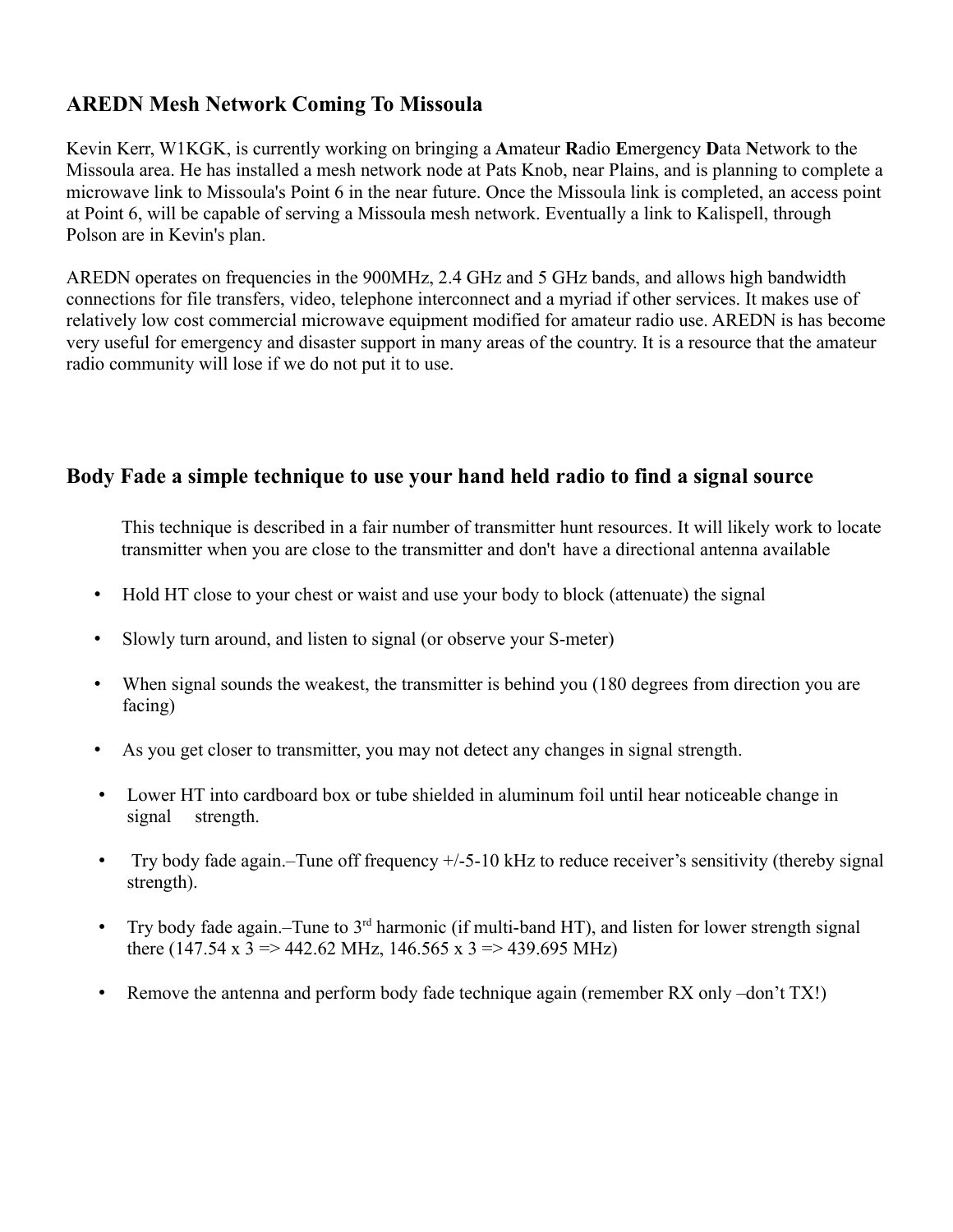## **AREDN Mesh Network Coming To Missoula**

Kevin Kerr, W1KGK, is currently working on bringing a **A**mateur **R**adio **E**mergency **D**ata **N**etwork to the Missoula area. He has installed a mesh network node at Pats Knob, near Plains, and is planning to complete a microwave link to Missoula's Point 6 in the near future. Once the Missoula link is completed, an access point at Point 6, will be capable of serving a Missoula mesh network. Eventually a link to Kalispell, through Polson are in Kevin's plan.

AREDN operates on frequencies in the 900MHz, 2.4 GHz and 5 GHz bands, and allows high bandwidth connections for file transfers, video, telephone interconnect and a myriad if other services. It makes use of relatively low cost commercial microwave equipment modified for amateur radio use. AREDN is has become very useful for emergency and disaster support in many areas of the country. It is a resource that the amateur radio community will lose if we do not put it to use.

#### **Body Fade a simple technique to use your hand held radio to find a signal source**

This technique is described in a fair number of transmitter hunt resources. It will likely work to locate transmitter when you are close to the transmitter and don't have a directional antenna available

- Hold HT close to your chest or waist and use your body to block (attenuate) the signal
- Slowly turn around, and listen to signal (or observe your S-meter)
- When signal sounds the weakest, the transmitter is behind you (180 degrees from direction you are facing)
- As you get closer to transmitter, you may not detect any changes in signal strength.
- Lower HT into cardboard box or tube shielded in aluminum foil until hear noticeable change in signal strength.
- Try body fade again.–Tune off frequency  $+/-5-10$  kHz to reduce receiver's sensitivity (thereby signal strength).
- Try body fade again.–Tune to  $3<sup>rd</sup>$  harmonic (if multi-band HT), and listen for lower strength signal there (147.54 x 3 => 442.62 MHz, 146.565 x 3 => 439.695 MHz)
- Remove the antenna and perform body fade technique again (remember RX only –don't TX!)